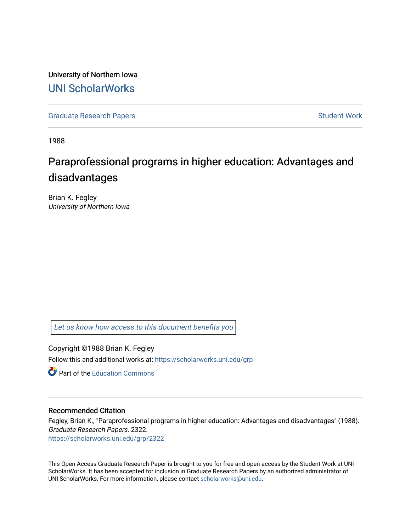University of Northern Iowa [UNI ScholarWorks](https://scholarworks.uni.edu/) 

[Graduate Research Papers](https://scholarworks.uni.edu/grp) **Student Work** Student Work

1988

# Paraprofessional programs in higher education: Advantages and disadvantages

Brian K. Fegley University of Northern Iowa

[Let us know how access to this document benefits you](https://scholarworks.uni.edu/feedback_form.html) 

Copyright ©1988 Brian K. Fegley

Follow this and additional works at: [https://scholarworks.uni.edu/grp](https://scholarworks.uni.edu/grp?utm_source=scholarworks.uni.edu%2Fgrp%2F2322&utm_medium=PDF&utm_campaign=PDFCoverPages) 

**C** Part of the [Education Commons](http://network.bepress.com/hgg/discipline/784?utm_source=scholarworks.uni.edu%2Fgrp%2F2322&utm_medium=PDF&utm_campaign=PDFCoverPages)

## Recommended Citation

Fegley, Brian K., "Paraprofessional programs in higher education: Advantages and disadvantages" (1988). Graduate Research Papers. 2322. [https://scholarworks.uni.edu/grp/2322](https://scholarworks.uni.edu/grp/2322?utm_source=scholarworks.uni.edu%2Fgrp%2F2322&utm_medium=PDF&utm_campaign=PDFCoverPages) 

This Open Access Graduate Research Paper is brought to you for free and open access by the Student Work at UNI ScholarWorks. It has been accepted for inclusion in Graduate Research Papers by an authorized administrator of UNI ScholarWorks. For more information, please contact [scholarworks@uni.edu.](mailto:scholarworks@uni.edu)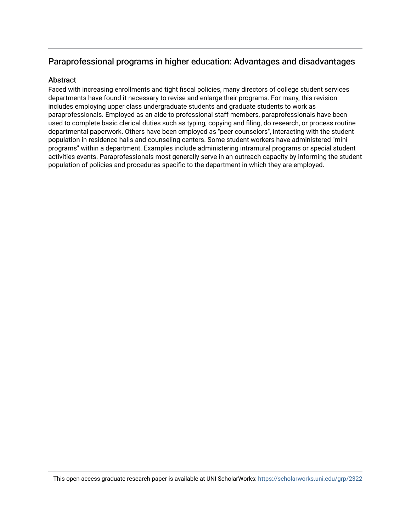# Paraprofessional programs in higher education: Advantages and disadvantages

# **Abstract**

Faced with increasing enrollments and tight fiscal policies, many directors of college student services departments have found it necessary to revise and enlarge their programs. For many, this revision includes employing upper class undergraduate students and graduate students to work as paraprofessionals. Employed as an aide to professional staff members, paraprofessionals have been used to complete basic clerical duties such as typing, copying and filing, do research, or process routine departmental paperwork. Others have been employed as "peer counselors", interacting with the student population in residence halls and counseling centers. Some student workers have administered "mini programs" within a department. Examples include administering intramural programs or special student activities events. Paraprofessionals most generally serve in an outreach capacity by informing the student population of policies and procedures specific to the department in which they are employed.

This open access graduate research paper is available at UNI ScholarWorks: <https://scholarworks.uni.edu/grp/2322>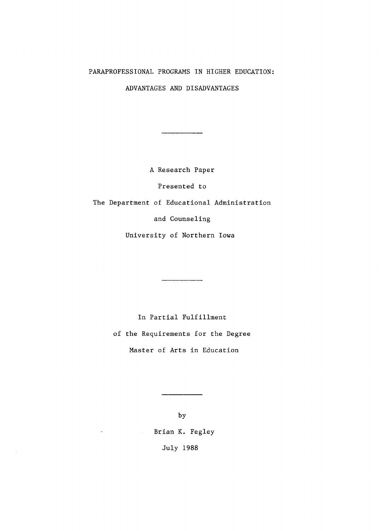### PARAPROFESSIONAL PROGRAMS IN HIGHER EDUCATION:

ADVANTAGES AND DISADVANTAGES

A Research Paper

Presented to

The Department of Educational Administration

and Counseling

University of Northern Iowa

In Partial Fulfillment of the Requirements for the Degree Master of Arts in Education

> by Brian K. Fegley July 1988

 $\hat{\mathcal{A}}$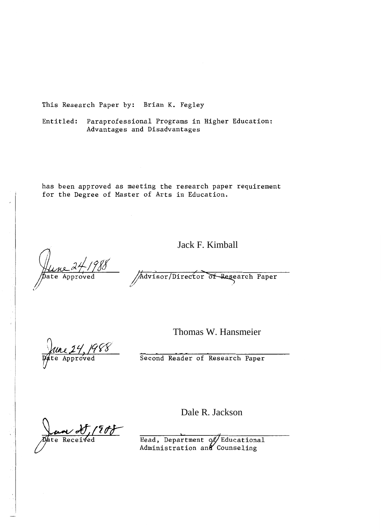This Research Paper by: Brian K. Fegley

Entitled: Paraprofessional Programs in Higher Education: Advantages and Disadvantages

has been approved as meeting the research paper requirement for the Degree of Master of Arts in Education.

Jack F. Kimball

Advisor/Director of Research Paper

roved

Thomas W. Hansmeier

Second Reader of Research Paper

'Eo Receiv

Dale R. Jackson

Head, Department of Educational Administration and Counseling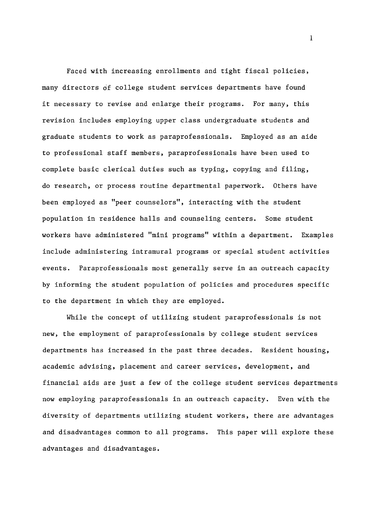Faced with increasing enrollments and tight fiscal policies, many directors of college student services departments have found it necessary to revise and enlarge their programs. For many, this revision includes employing upper class undergraduate students and graduate students to work as paraprofessionals. Employed as an aide to professional staff members, paraprofessionals have been used to complete basic clerical duties such as typing, copying and filing, do research, or process routine departmental paperwork. Others have been employed as "peer counselors", interacting with the student population in residence halls and counseling centers. Some student workers have administered "mini programs" within a department. Examples include administering intramural programs or special student activities events. Paraprofessionals most generally serve in an outreach capacity by informing the student population of policies and procedures specific to the department in which they are employed.

While the concept of utilizing student paraprofessionals is not new, the employment of paraprofessionals by college student services departments has increased in the past three decades. Resident housing, academic advising, placement and career services, development, and financial aids are just a few of the college student services departments now employing paraprofessionals in an outreach capacity. Even with the diversity of departments utilizing student workers, there are advantages and disadvantages common to all programs. This paper will explore these advantages and disadvantages.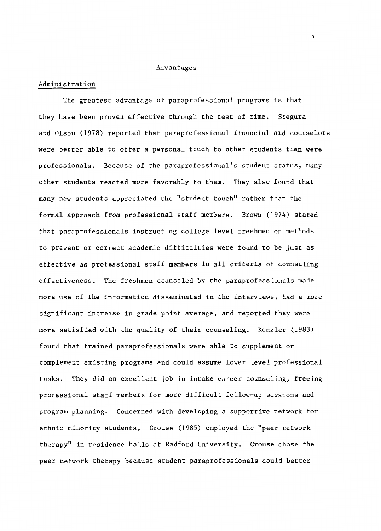#### Advantages

#### Administration

The greatest advantage of paraprofessional programs is that they have been proven effective through the test of time. Stegura and Olson (1978) reported that paraprofessional financial aid counselors were better able to offer a personal touch to other students than were professionals. Because of the paraprofessional's student status, many other students reacted more favorably to them. They also found that many new students appreciated the "student touch" rather than the formal approach from professional staff members. Brown (1974) stated that paraprofessionals instructing college level freshmen on methods to prevent or correct academic difficulties were found to be just as effective as professional staff members in all criteria of counseling effectiveness. The freshmen counseled by the paraprofessionals made more use of the information disseminated in the interviews, had a more significant increase in grade point average, and reported they were more satisfied with the quality of their counseling. Kenzler (1983) found that trained paraprofessionals were able to supplement or complement existing programs and could assume lower level professional tasks. They did an excellent job in intake career counseling, freeing professional staff members for more difficult follow-up sessions and program planning. Concerned with developing a supportive network for ethnic minority students, Crouse (1985) employed the "peer network therapy" in residence halls at Radford University. Crouse chose the peer network therapy because student paraprofessionals could better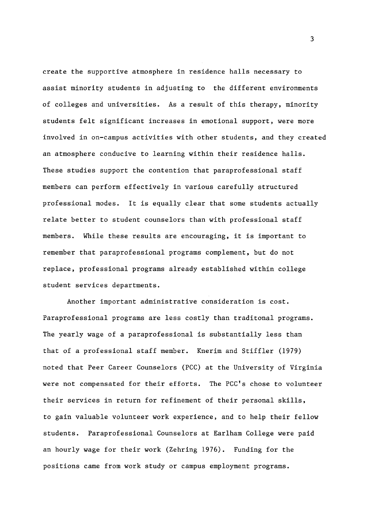create the supportive atmosphere in residence halls necessary to assist minority students in adjusting to the different environments of colleges and universities. As a result of this therapy, minority students felt significant increases in emotional support, were more involved in on-campus activities with other students, and they created an atmosphere conducive to learning within their residence halls. These studies support the contention that paraprofessional staff members can perform effectively in various carefully structured professional modes. It is equally clear that some students actually relate better to student counselors than with professional staff members. While these results are encouraging, it is important to remember that paraprofessional programs complement, but do not replace, professional programs already established within college student services departments.

Another important administrative consideration is cost. Paraprofessional programs are less costly than traditonal programs. The yearly wage of a paraprofessional is substantially less than that of a professional staff member. Knerim and Stiffler (1979) noted that Peer Career Counselors (PCC) at the University of Virginia were not compensated for their efforts. The PCC's chose to volunteer their services in return for refinement of their personal skills, to gain valuable volunteer work experience, and to help their fellow students. Paraprofessional Counselors at Earlham College were paid an hourly wage for their work (Zehring 1976). Funding for the positions came from work study or campus employment programs.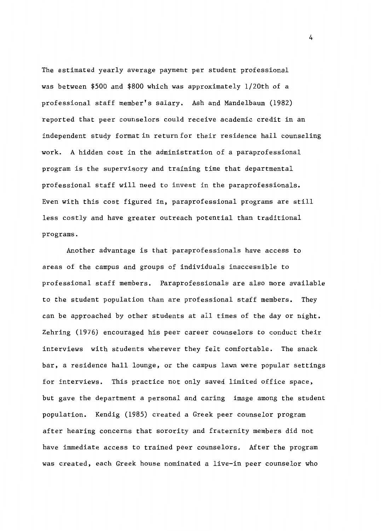The estimated yearly average payment per student professional was between \$500 and \$800 which was approximately l/20th of a professional staff member's salary. Ash and Mandelbaum (1982) reported that peer counselors could receive academic credit in an independent study format in return for their residence hall counseling work. A hidden cost in the administration of a paraprofessional program is the supervisory and training time that departmental professional staff will need to invest in the paraprofessionals. Even with this cost figured in, paraprofessional programs are still less costly and have greater outreach potential than traditional programs.

Another advantage is that paraprofessionals have access to areas of the campus and groups of individuals inaccessible to professional staff members. Paraprofessionals are also more available to the student population than are professional staff members. They can be approached by other students at all times of the day or night. Zehring (1976) encouraged his peer career counselors to conduct their interviews with students wherever they felt comfortable. The snack bar, a residence hall lounge, or the campus lawn were popular settings for interviews. This practice not only saved limited office space, but gave the department a personal and caring image among the student population. Kendig (1985) created a Greek peer counselor program after hearing concerns that sorority and fraternity members did not have immediate access to trained peer counselors. After the program was created, each Greek house nominated a live-in peer counselor who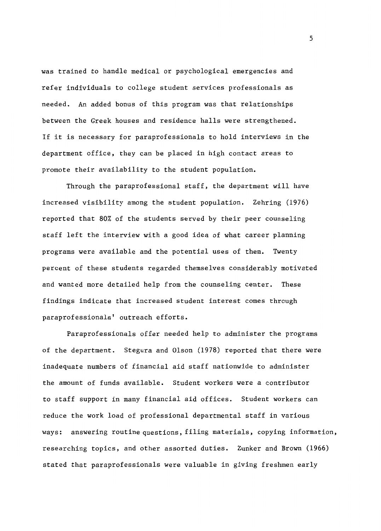was trained to handle medical or psychological emergencies and refer individuals to college student services professionals as needed. An added bonus of this program was that relationships between the Greek houses and residence halls were strengthened. If it is necessary for paraprofessionals to hold interviews in the department office, they can be placed in high contact areas to promote their availability to the student population.

Through the paraprofessional staff, the department will have increased visibility among the student population. Zehring (1976) reported that 80% of the students served by their peer counseling staff left the interview with a good idea of what career planning programs were available and the potential uses of them. Twenty percent of these students regarded themselves considerably motivated and wanted more detailed help from the counseling center. These findings indicate that increased student interest comes through paraprofessionals' outreach efforts.

Paraprofessionals offer needed help to administer the programs of the department. Stegura and Olson (1978) reported that there were inadequate numbers of financial aid staff nationwide to administer the amount of funds available. Student workers were a contributor to staff support in many financial aid offices. Student workers can reduce the work load of professional departmental staff in various ways: answering routine questions, filing materials, copying information, researching topics, and other assorted duties. Zunker and Brown (1966) stated that paraprofessionals were valuable in giving freshmen early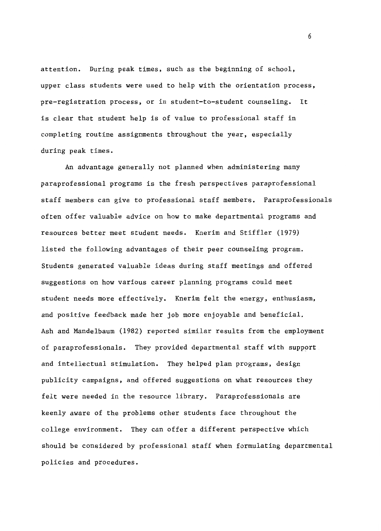attention. During peak times, such as the beginning of school, upper class students were used to help with the orientation process, pre-registration process, or in student-to-student counseling. It is clear that student help is of value to professional staff in completing routine assignments throughout the year, especially during peak times.

An advantage generally not planned when administering many paraprofessional programs is the fresh perspectives paraprofessional staff members can give to professional staff members. Paraprofessionals often offer valuable advice on how to make departmental programs and resources better meet student needs. Knerim and Stiffler (1979) listed the following advantages of their peer counseling program. Students generated valuable ideas during staff meetings and offered suggestions on how various career planning programs could meet student needs more effectively. Knerim felt the energy, enthusiasm, and positive feedback made her job more enjoyable and beneficial. Ash and Mandelbaum (1982) reported similar results from the employment of paraprofessionals. They provided departmental staff with support and intellectual stimulation. They helped plan programs, design publicity campaigns, and offered suggestions on what resources they felt were needed in the resource library. Paraprofessionals are keenly aware of the problems other students face throughout the college environment. They can offer a different perspective which should be considered by professional staff when formulating departmental policies and procedures.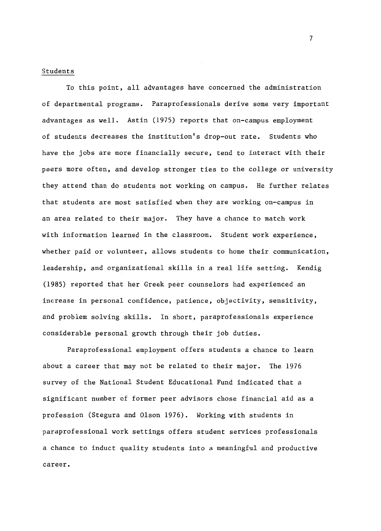#### Students

To this point, all advantages have concerned the administration of departmental programs. Paraprofessionals derive some very important advantages as well. Astin (1975) reports that on-campus employment of students decreases the institution's drop-out rate. Students who have the jobs are more financially secure, tend to interact with their peers more often, and develop stronger ties to the college or university they attend than do students not working on campus. He further relates that students are most satisfied when they are working on-campus in an area related to their major. They have a chance to match work with information learned in the classroom. Student work experience, whether paid or volunteer, allows students to home their communication, leadership, and organizational skills in a real life setting. Kendig (1985) reported that her Greek peer counselors had experienced an increase in personal confidence, patience, objectivity, sensitivity, and problem solving skills. In short, paraprofessionals experience considerable personal growth through their job duties.

Paraprofessional employment offers students a chance to learn about a career that may not be related to their major. The 1976 survey of the National Student Educational Fund indicated that a significant number of former peer advisors chose financial aid as a profession (Stegura and Olson 1976). Working with students in paraprofessional work settings offers student services professionals a chance to induct quality students into a meaningful and productive career.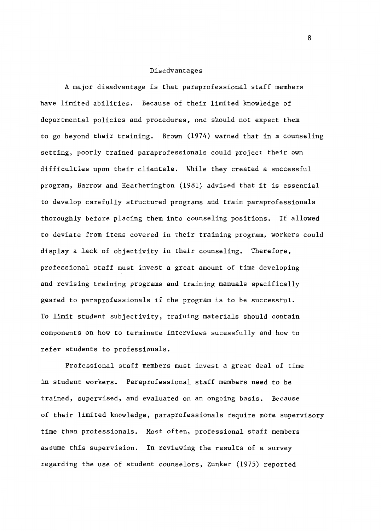#### Disadvantages

A major disadvantage is that paraprofessional staff members have limited abilities. Because of their limited knowledge of departmental policies and procedures, one should not expect them to go beyond their training. Brown (1974) warned that in a counseling setting, poorly trained paraprofessionals could project their own difficulties upon their clientele. While they created a successful program, Barrow and Heatherington (1981) advised that it is essential to develop carefully structured programs and train paraprofessionals thoroughly before placing them into counseling positions. If allowed to deviate from items covered in their training program, workers could display a lack of objectivity in their counseling. Therefore, professional staff must invest a great amount of time developing and revising training programs and training manuals specifically geared to paraprofessionals if the program is to be successful. To limit student subjectivity, training materials should contain components on how to terminate interviews sucessfully and how to refer students to professionals.

Professional staff members must invest a great deal of time in student workers. Paraprofessional staff members need to be trained, supervised, and evaluated on an ongoing basis. Because of their limited knowledge, paraprofessionals require more supervisory time than professionals. Most often, professional staff members assume this supervision. In reviewing the results of a survey regarding the use of student counselors, Zunker (1975) reported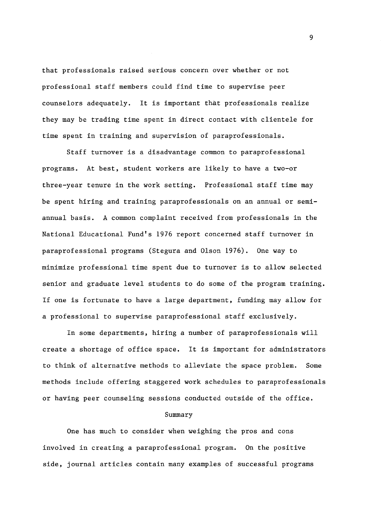that professionals raised serious concern over whether or not professional staff members could find time to supervise peer counselors adequately. It is important that professionals realize they may be trading time spent in direct contact with clientele for time spent in training and supervision of paraprofessionals.

Staff turnover is a disadvantage common to paraprofessional programs. At best, student workers are likely to have a two-or three-year tenure in the work setting. Professional staff time may be spent hiring and training paraprofessionals on an annual or semiannual basis. A common complaint received from professionals in the National Educational Fund's 1976 report concerned staff turnover in paraprofessional programs (Stegura and Olson 1976). One way to minimize professional time spent due to turnover is to allow selected senior and graduate level students to do some of the program training. If one is fortunate to have a large department, funding may allow for a professional to supervise paraprofessional staff exclusively.

In some departments, hiring a number of paraprofessionals will create a shortage of office space. It is important for administrators to think of alternative methods to alleviate the space problem. Some methods include offering staggered work schedules to paraprofessionals or having peer counseling sessions conducted outside of the office.

#### Summary

One has much to consider when weighing the pros and cons involved in creating a paraprofessional program. On the positive side, journal articles contain many examples of successful programs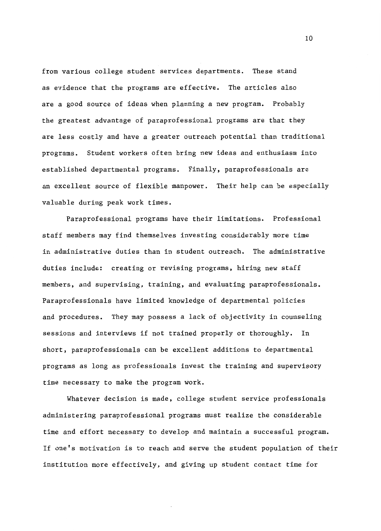from various college student services departments. These stand as evidence that the programs are effective. The articles also are a good source of ideas when planning a new program. Probably the greatest advantage of paraprofessional programs are that they are less costly and have a greater outreach potential than traditional programs. Student workers often bring new ideas and enthusiasm into established departmental programs. Finally, paraprofessionals are an excellent source of flexible manpower. Their help can be especially valuable during peak work times.

Paraprofessional programs have their limitations. Professional staff members may find themselves investing considerably more time in administrative duties than in student outreach. The administrative duties include: creating or revising programs, hiring new staff members, and supervising, training, and evaluating paraprofessionals. Paraprofessionals have limited knowledge of departmental policies and procedures. They may possess a lack of objectivity in counseling sessions and interviews if not trained properly or thoroughly. In short, paraprofessionals can be excellent additions to departmental programs as long as professionals invest the training and supervisory time necessary to make the program work.

Whatever decision is made, college student service professionals administering paraprofessional programs must realize the considerable time and effort necessary to develop and maintain a successful program. If one's motivation is to reach and serve the student population of their institution more effectively, and giving up student contact time for

 $1<sub>0</sub>$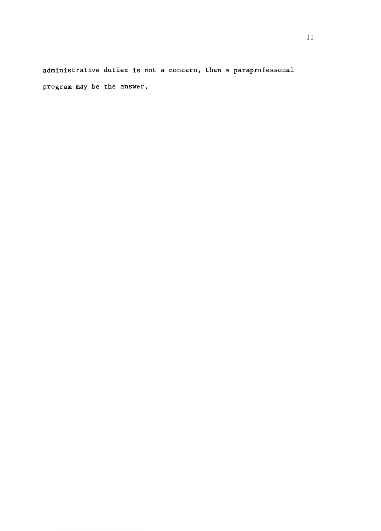administrative duties is not a concern, then a paraprofessonal program may be the answer.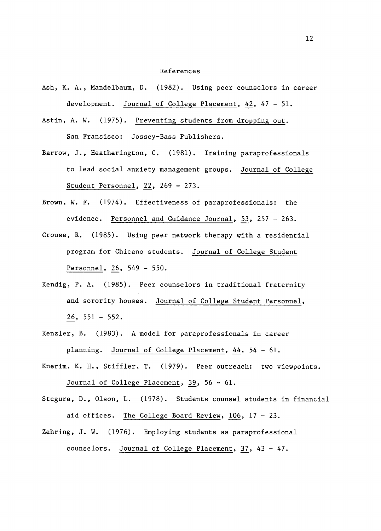#### References

- Ash, K. A., Mandelbaum, D. (1982). Using peer counselors in career development. Journal of College Placement, 42, 47 - 51.
- Astin, A. W. (1975). Preventing students from dropping out. San Fransisco: Jossey-Bass Publishers.
- Barrow, J., Heatherington, C. (1981). Training paraprofessionals to lead social anxiety management groups. Journal of College Student Personnel, 22, 269 - 273.
- Brown, W. F. (1974). Effectiveness of paraprofessionals: the evidence. Personnel and Guidance Journal, 53, 257 - 263.
- Crouse, R. (1985). Using peer network therapy with a residential program for Chicano students. Journal of College Student Personnel, 26, 549 - 550.
- Kendig, P.A. (1985). Peer counselors in traditional fraternity and sorority houses. Journal of College Student Personnel, 26, 551 - 552.
- Kenzler, B. (1983). A model for paraprofessionals in career planning. Journal of College Placement, 44, 54 - 61.
- Knerim, K. H., Stiffler, T. (1979). Peer outreach: two viewpoints. Journal of College Placement, 39, 56 - 61.
- Stegura, D., Olson, L. (1978). Students counsel students in financial aid offices. The College Board Review,  $106$ ,  $17 - 23$ .
- Zehring, J. W. (1976). Employing students as paraprofessional counselors. Journal of College Placement, 37, 43 - 47.